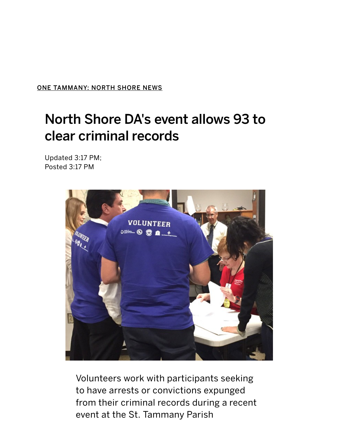ONE TAMMANY: NORTH SHORE NEWS

## North Shore DA's event allows 93 to clear criminal records

Updated 3:17 PM; Posted 3:17 PM



Volunteers work with participants seeking to have arrests or convictions expunged from their criminal records during a recent event at the St. Tammany Parish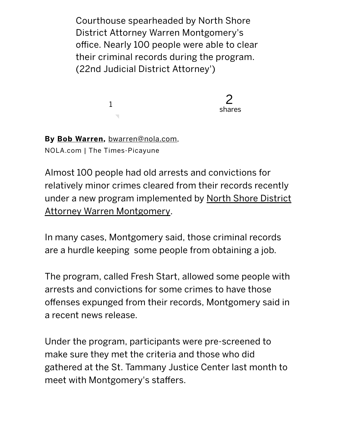Courthouse spearheaded by North Shore District Attorney Warren Montgomery's office. Nearly 100 people were able to clear their criminal records during the program. (22nd Judicial District Attorney')



By Bob Warren, bwarren@nola.com, NOLA.com | The Times‑Picayune

Almost 100 people had old arrests and convictions for relatively minor crimes cleared from their records recently under a new program implemented by North Shore District Attorney Warren Montgomery.

In many cases, Montgomery said, those criminal records are a hurdle keeping some people from obtaining a job.

The program, called Fresh Start, allowed some people with arrests and convictions for some crimes to have those offenses expunged from their records, Montgomery said in a recent news release.

Under the program, participants were pre‑screened to make sure they met the criteria and those who did gathered at the St. Tammany Justice Center last month to meet with Montgomery's staffers.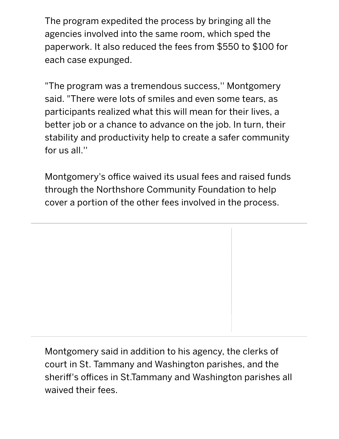The program expedited the process by bringing all the agencies involved into the same room, which sped the paperwork. It also reduced the fees from \$550 to \$100 for each case expunged.

"The program was a tremendous success,'' Montgomery said. "There were lots of smiles and even some tears, as participants realized what this will mean for their lives, a better job or a chance to advance on the job. In turn, their stability and productivity help to create a safer community for us all.''

Montgomery's office waived its usual fees and raised funds through the Northshore Community Foundation to help cover a portion of the other fees involved in the process.

Montgomery said in addition to his agency, the clerks of court in St. Tammany and Washington parishes, and the sheriff's offices in St.Tammany and Washington parishes all waived their fees.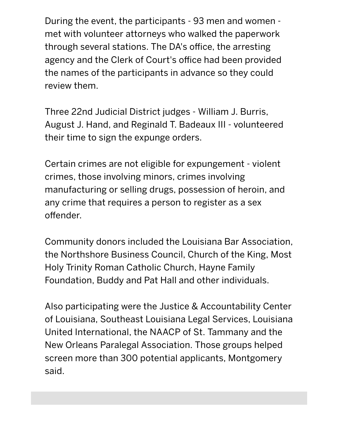During the event, the participants ‑ 93 men and women ‑ met with volunteer attorneys who walked the paperwork through several stations. The DA's office, the arresting agency and the Clerk of Court's office had been provided the names of the participants in advance so they could review them.

Three 22nd Judicial District judges ‑ William J. Burris, August J. Hand, and Reginald T. Badeaux III ‑ volunteered their time to sign the expunge orders.

Certain crimes are not eligible for expungement ‑ violent crimes, those involving minors, crimes involving manufacturing or selling drugs, possession of heroin, and any crime that requires a person to register as a sex offender.

Community donors included the Louisiana Bar Association, the Northshore Business Council, Church of the King, Most Holy Trinity Roman Catholic Church, Hayne Family Foundation, Buddy and Pat Hall and other individuals.

Also participating were the Justice & Accountability Center of Louisiana, Southeast Louisiana Legal Services, Louisiana United International, the NAACP of St. Tammany and the New Orleans Paralegal Association. Those groups helped screen more than 300 potential applicants, Montgomery said.